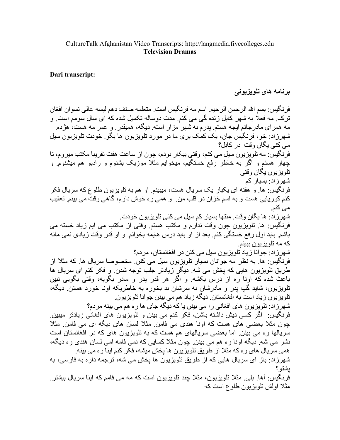## Dari transcript:

## برنامه های تلویزیونی

فر نگيس: بسم الله الرحمن الرحيم. اسم مه فر نگيس است. متعلمه صنف دهم ليسه عالي نسو ان افغان ترک ِ مه فعلاً به شهر کابل زنده گی می کنم ِ مدت دوساله تکمیل شده که ای سال سومم است ِ و مه همر ای مادر جانم ایجه هستم. بدر م به شهر مز ار استه. دیگه، همیقدر . و عمر مه هست، هژ ده. شهرزاد: خو، فرنگیس جان، یک کمک بری ما در مورد تلویزیون ها بگو ِ خودت تلویزیون سیل مے کنے بگان وقت در کابل؟ فرنگیس: مه تلویزیون سیل می کنم، وقتی بیکار بودم، چون از ساعت هفت تقریبا مکتب میروم، تا چهار هستم و اگر به خاطر رفع خستگیم، میخوایم مثلاً موزیک بشنوم و رادیو هم میشنوم و تلویز یون یگان وقتی شهر ز اد: بسیار کم فرنگیس: ها و هفته ای یکبار یک سریال هست، میبینم او هم به تلویزیون طلوع که سریال فکر کنم کوریایی هست و به اسم خزان در قلب من و همی ره خوش دارم، گاهی وقت می بینم تعقیب می کنم. شهر زاد: ها یگان وقت. منتها بسیار کم سیل می کنی تلویزیون خودت. فرنگیس: ها تلویزیون چون وقت ندارم و مکتب هستم وقتی از مکتب می آیم زیاد خسته می باشم باید اول رفع خستگی کنم بعد از او باید درس هایمه بخوانم و او قدر وقت زیادی نمی مانه که مه تلویز یون ببینم شهرزاد: جوانا زیاد تلویزیون سیل می کنن در افغانستان، مر دم؟ فرنگيس: ها. به نظر مه جوانان بسيار تلويزيون سيل مي كنن. مخصوصا سريال ها. كه مثلا از طریق تلویزیون هایی که یخش می شه ٍ دیگر زیادتر جلب توجه شدن و فکر کنم ای سریال ها باعث شده که اونا ره از درس بکشه و اگر هر قدر بدر و مادر بگویه، وقتی بگویی نبین تلویزیون، شاید گپ پدر و مادرشان به سرشان بد بخوره به خاطریکه اونا خورد هستن دیگه، تلویز یون زیاد است به افغانستان دیگه زیاد هم می بینن جوانا تلویزیون. شهرزاد: تلویزیون های افغانی را می بینن یا که دیگه جای ها ره هم می بینه مردم؟ فرنگیس: اگر کسی دیش داشته باشن، فکر کنم می بینن و تلویزیون های افغانی زیادتر میبین. جون مثلا بعضبی های هست که اونا هندی می فامن ِ مثلا لسان های دیگه ای می فامن ِ مثلا سریالها ره می بینن ِ اما بعضی سریالهای هم هست که به تلویزیون های که در افغانستان است نشر می شه ِ دیگه اونا ره هم می بینن ِ چون مثلا کسایی که نمی فامه امی لسان هندی ره دیگه، همی سریال های ره که مثلا از طریق تلویزیون ها یخش میشه، فکر کنم اینا ره می بینه شهر زاد: باز ای سریال هایی که از طریق تلویزیون ها یخش می شه، ترجمه دار ه به فارسی، به ىشتو ؟ فر نگیس: آها. بلی ِ مثلا تلویزیون، مثلا جند تلویزیون است که مه می فامم که اینا سریال بیشتر .

مثلا اولش تلویزیون طلوع است که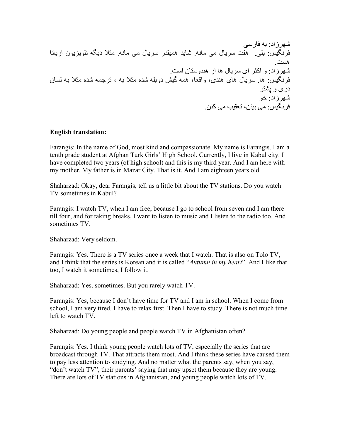@? زاد: \*- !8رس7 ! : \*.74 ه[+ س ی8ل م7 م8.- @8یD ه'DTر س ی8ل م7 م8.- م`A دی- ت4>یQی>ن اری88 ه(+ . @? زاد: و اG `اK س ی8ل ه8 از ه2Dوس86ن اس+ . ! : . ه8 س ی8ل ه8K ه2KD، واY،85 ه'- Bj دو\*-4 @CD م`A\* - ، ت O'-@ CD م`A\* - \$)8ن درK و S\_6 < @? زاد: X< ! : م7 \*2&، ت5T [م7 G2 &.

## English translation:

Farangis: In the name of God, most kind and compassionate. My name is Farangis. I am a tenth grade student at Afghan Turk Girls' High School. Currently, I live in Kabul city. I have completed two years (of high school) and this is my third year. And I am here with my mother. My father is in Mazar City. That is it. And I am eighteen years old.

Shaharzad: Okay, dear Farangis, tell us a little bit about the TV stations. Do you watch TV sometimes in Kabul?

Farangis: I watch TV, when I am free, because I go to school from seven and I am there till four, and for taking breaks, I want to listen to music and I listen to the radio too. And sometimes TV.

Shaharzad: Very seldom.

Farangis: Yes. There is a TV series once a week that I watch. That is also on Tolo TV, and I think that the series is Korean and it is called "*Autumn in my heart*". And I like that too, I watch it sometimes, I follow it.

Shaharzad: Yes, sometimes. But you rarely watch TV.

Farangis: Yes, because I don't have time for TV and I am in school. When I come from school, I am very tired. I have to relax first. Then I have to study. There is not much time left to watch TV.

Shaharzad: Do young people and people watch TV in Afghanistan often?

Farangis: Yes. I think young people watch lots of TV, especially the series that are broadcast through TV. That attracts them most. And I think these series have caused them to pay less attention to studying. And no matter what the parents say, when you say, "don't watch TV", their parents' saying that may upset them because they are young. There are lots of TV stations in Afghanistan, and young people watch lots of TV.